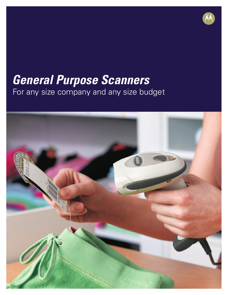# *General Purpose Scanners* For any size company and any size budget

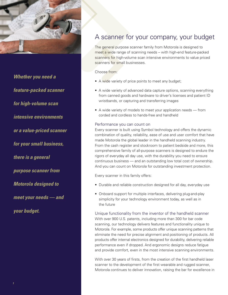

*Whether you need a feature-packed scanner for high-volume scan intensive environments or a value-priced scanner for your small business, there is a general purpose scanner from Motorola designed to meet your needs — and your budget.*

## A scanner for your company, your budget

The general purpose scanner family from Motorola is designed to meet a wide range of scanning needs – with high-end feature-packed scanners for high-volume scan intensive environments to value priced scanners for small businesses.

Choose from:

- A wide variety of price points to meet any budget;
- A wide variety of advanced data capture options, scanning everything from canned goods and hardware to driver's licenses and patient ID wristbands, or capturing and transferring images
- A wide variety of models to meet your application needs from corded and cordless to hands-free and handheld

### Performance you can count on

Every scanner is built using Symbol technology and offers the dynamic combination of quality, reliability, ease of use and user comfort that have made Motorola the global leader in the handheld scanning industry. From the cash register and stockroom to patient bedside and more, this comprehensive family of all-purpose scanners is designed to endure the rigors of everyday all day use, with the durability you need to ensure continuous business — and an outstanding low total cost of ownership. And you can count on Motorola for outstanding investment protection.

Every scanner in this family offers:

- Durable and reliable construction designed for all day, everyday use
- Onboard support for multiple interfaces, delivering plug-and-play simplicity for your technology environment today, as well as in the future

### Unique functionality from the inventor of the handheld scanner

With over 900 U.S. patents, including more than 300 for bar code scanning, our technology delivers features and functionality unique to Motorola. For example, some products offer unique scanning patterns that eliminate the need for precise alignment and positioning of products. All products offer internal electronics designed for durability, delivering reliable performance even if dropped. And ergonomic designs reduce fatigue and provide comfort, even in the most intensive scanning environments.

With over 30 years of firsts, from the creation of the first handheld laser scanner to the development of the first wearable and rugged scanner, Motorola continues to deliver innovation, raising the bar for excellence in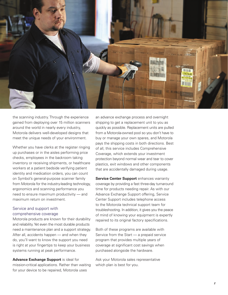

the scanning industry. Through the experience gained from deploying over 15 million scanners around the world in nearly every industry, Motorola delivers well-developed designs that meet the unique needs of your environment.

Whether you have clerks at the register ringing up purchases or in the aisles performing price checks, employees in the backroom taking inventory or receiving shipments, or healthcare workers at a patient bedside verifying patient identity and medication orders, you can count on Symbol's general-purpose scanner family from Motorola for the industry-leading technology, ergonomics and scanning performance you need to ensure maximum productivity — and maximum return on investment.

### Service and support with comprehensive coverage

Motorola products are known for their durability and reliability. Yet even the most durable products need a maintenance plan and a support strategy. After all, accidents happen — and when they do, you'll want to know the support you need is right at your fingertips to keep your business systems running at peak performance.

**Advance Exchange Support** is ideal for mission-critical applications. Rather than waiting for your device to be repaired, Motorola uses

an advance exchange process and overnight shipping to get a replacement unit to you as quickly as possible. Replacement units are pulled from a Motorola-owned pool so you don't have to buy or manage your own spares, and Motorola pays the shipping costs in both directions. Best of all, this service includes Comprehensive Coverage, which extends your investment protection beyond normal wear and tear to cover plastics, exit windows and other components that are accidentally damaged during usage.

**Service Center Support** enhances warranty coverage by providing a fast three-day turnaround time for products needing repair. As with our Advance Exchange Support offering, Service Center Support includes telephone access to the Motorola technical support team for troubleshooting. In addition, it gives you the peace of mind of knowing your equipment is expertly repaired to its original factory specifications.

Both of these programs are available with Service from the Start — a prepaid service program that provides multiple years of coverage at significant cost savings when purchased alongside the hardware.

Ask your Motorola sales representative which plan is best for you.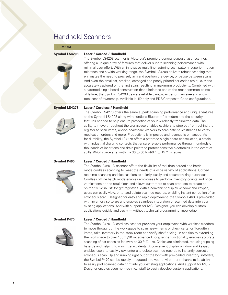## Handheld Scanners

### **Premium**

### **Symbol LS4208 Laser / Corded / Handheld**



The Symbol LS4208 scanner is Motorola's premiere general purpose laser scanner, offering a unique array of features that deliver superb scanning performance with minimal user effort. With an innovative multi-line rastering scan pattern, superior motion tolerance and a wide working range, the Symbol LS4208 delivers robust scanning that eliminates the need to precisely aim and position the device, or pause between scans. And even the smallest, stacked, damaged and poorly printed bar codes are quickly and accurately captured on the first scan, resulting in maximum productivity. Combined with a patented single board construction that eliminates one of the most common points of failure, the Symbol LS4208 delivers reliable day-to-day performance — and a low total cost of ownership. Available in 1D only and PDF/Composite Code configurations.

### **Symbol LS4278 Laser / Cordless / Handheld**

The Symbol LS4278 offers the same superb scanning performance and unique features as the Symbol LS4208 along with cordless Bluetooth™ freedom and the security features needed to help ensure protection of your wirelessly transmitted data. The ability to move throughout the workspace enables cashiers to step out from behind the register to scan items, allows healthcare workers to scan patient wristbands to verify medication orders and more. Productivity is improved and revenue is enhanced. As for durability, the Symbol LS4278 offers a patented single board construction, a cradle with industrial charging contacts that ensure reliable performance through hundreds of thousands of insertions and drain points to protect sensitive electronics in the event of spills. (Workspace size: within a 30 to 50 foot/9.1 to 15.2 m radius)

### **Symbol P460 Laser / Corded / Handheld**

The Symbol P460 1D scanner offers the flexibility of real-time corded and batch mode cordless scanning to meet the needs of a wide variety of applications. Corded real-time scanning enables cashiers to quickly, easily and accurately ring purchases. Cordless offline batch mode enables employees to perform inventory counts and price verifications on the retail floor, and allows customers to scan products to create an on-the-fly 'wish list' for gift registries. With a convenient display window and keypad, users can easily view, enter and delete scanned records, enabling instant correction of an erroneous scan. Designed for easy and rapid deployment, the Symbol P460 is pre-loaded with inventory software and enables seamless integration of scanned data into your existing applications. And with support for MCL-Designer, you can develop custom applications quickly and easily — without technical programming knowledge.

### **Symbol P470 Laser / Corded / Handheld**



The Symbol P470 1D cordless scanner provides your employees with wireless freedom to move throughout the workspace to scan heavy items or check carts for 'forgotten' items, take inventory in the stock room and verify shelf pricing. In addition to extending the workspace to over 100 ft./30 m, advanced, long range functionality enables accurate scanning of bar codes as far away as 30 ft./9.1 m. Cables are eliminated, reducing tripping hazards and helping to minimize accidents. A convenient display window and keypad enables users to easily view, enter and delete scanned records to instantly correct an erroneous scan. Up and running right out of the box with pre-loaded inventory software, the Symbol P470 can be rapidly integrated into your environment, thanks to its ability to easily port scanned data right into your existing applications. And support for MCL-Designer enables even non-technical staff to easily develop custom applications.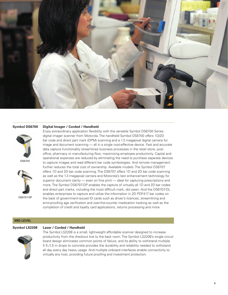



DS6700



DS6707-DP

### **Symbol DS6700 Digital Imager / Corded / Handheld**

Enjoy extraordinary application flexibility with the versatile Symbol DS6700 Series digital imager scanner from Motorola. The handheld Symbol DS6700 offers 1D/2D bar code and direct part mark (DPM) scanning and a 1.3 megapixel digital camera for image and document scanning — all in a single cost-effective device. Fast and accurate data capture functionality streamlines business processes in the retail store, post office, pharmacy or manufacturing floor, maximizing employee productivity. Capital and operational expenses are reduced by eliminating the need to purchase separate devices to capture images and read different bar code symbologies. And remote management further reduces the total cost of ownership. Available models: The Symbol DS6707 offers 1D and 2D bar code scanning. The DS6707 offers 1D and 2D bar code scanning as well as the 1.3 megapixel camera and Motorola's text enhancement technology for superior document clarity — even on fine print — ideal for capturing prescriptions and more. The Symbol DS6707-DP enables the capture of virtually all 1D and 2D bar codes and direct part marks, including the most difficult mark, dot peen. And the DS6707-DL enables enterprises to capture and utilize the information in 2D PDF417 bar codes on the back of government-issued ID cards such as driver's licences, streamlining and error-proofing age verification and over-the-counter medication tracking as well as the completion of credit and loyalty card applications, returns processing and more.

### **Mid Level**



### **Symbol LS2208 Laser / Corded / Handheld**

The Symbol LS2208 is a small, lightweight affordable scanner designed to increase productivity from the checkout line to the back room. The Symbol LS2208's single circuit board design eliminates common points of failure, and its ability to withstand multiple 5 ft./1.5 m drops to concrete provides the durability and reliability needed to withstand all day every day heavy usage. And multiple onboard interfaces enable connectivity to virtually any host, providing future proofing and investment protection.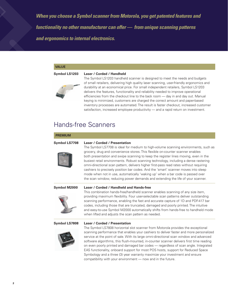*When you choose a Symbol scanner from Motorola, you get patented features and functionality no other manufacturer can offer — from unique scanning patterns and ergonomics to internal electronics.*

### **Value**

### **Symbol LS1203 Laser / Corded / Handheld**



The Symbol LS1203 handheld scanner is designed to meet the needs and budgets of small retailers, delivering high quality laser scanning, user-friendly ergonomics and durability at an economical price. For small independent retailers, Symbol LS1203 delivers the features, functionality and reliability needed to improve operational efficiencies from the checkout line to the back room — day in and day out. Manual keying is minimized, customers are charged the correct amount and paper-based inventory processes are automated. The result is faster checkout, increased customer satisfaction, increased employee productivity — and a rapid return on investment.

## Hands-free Scanners

| <b>PREMIUM</b>       |                                                                                                                                                                                                                                                                                                                                                                                                                                                                                                                                                                                                                                                                                                                                                   |
|----------------------|---------------------------------------------------------------------------------------------------------------------------------------------------------------------------------------------------------------------------------------------------------------------------------------------------------------------------------------------------------------------------------------------------------------------------------------------------------------------------------------------------------------------------------------------------------------------------------------------------------------------------------------------------------------------------------------------------------------------------------------------------|
| <b>Symbol LS7708</b> | <b>Laser / Corded / Presentation</b><br>The Symbol LS7708 is ideal for medium to high-volume scanning environments, such as<br>grocery, drug and convenience stores. This flexible on-counter scanner enables<br>both presentation and swipe scanning to keep the register lines moving, even in the<br>busiest retail environments. Robust scanning technology, including a dense rastering<br>omni-directional scan pattern, delivers higher first-pass read rates without requiring<br>cashiers to precisely position bar codes. And the 'smart' scanner moves into sleep<br>mode when not in use, automatically 'waking up' when a bar code is passed over<br>the scan window, reducing power demands and extending the life of your scanner. |
| Symbol M2000         | Laser / Corded / Handheld and Hands-free<br>This combination hands-free/handheld scanner enables scanning of any size item,<br>providing maximum flexibility. Four user-selectable scan patterns deliver outstanding<br>scanning performance, enabling the fast and accurate capture of 1D and PDF-417 bar<br>codes, including those that are truncated, damaged and poorly printed. The intuitive<br>and easy-to-use Symbol M2000 automatically shifts from hands-free to handheld mode<br>when lifted and adjusts the scan pattern as needed.                                                                                                                                                                                                   |
| Symbol LS7808        | <b>Laser / Corded / Presentation</b><br>The Symbol LS7808 horizontal slot scanner from Motorola provides the exceptional<br>scanning performance that enables your cashiers to deliver faster and more personalized<br>service at the point of sale. With its large omni-directional scan window and advanced<br>software algorithms, this flush-mounted, in-counter scanner delivers first time reading<br>on even poorly printed and damaged bar codes — regardless of scan angle. Integrated<br>EAS functionality, onboard support for most POS hosts, support for Reduced Space<br>Symbology and a three (3) year warranty maximize your investment and ensure<br>compatibility with your environment — now and in the future.                |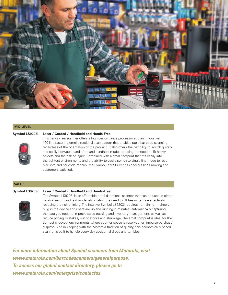

### **Mid Level**



### **Symbol LS9208i Laser / Corded / Handheld and Hands-Free**

This hands-free scanner offers a high-performance processor and an innovative 100-line rastering omni-directional scan pattern that enables rapid bar code scanning regardless of the orientation of the product. It also offers the flexibility to switch quickly and easily between hands-free and handheld mode, reducing the need to lift heavy objects and the risk of injury. Combined with a small footprint that fits easily into the tightest environments and the ability to easily switch to single line mode to read pick lists and bar code menus, the Symbol LS9208i keeps checkout lines moving and customers satisfied.

### **Value**

### **Symbol LS9203i Laser / Corded / Handheld and Hands-Free**



The Symbol LS9203i is an affordable omni-directional scanner that can be used in either hands-free or handheld mode, eliminating the need to lift heavy items – effectively reducing the risk of injury. The intuitive Symbol LS9203i requires no training — simply plug in the device and users are up and running in minutes, automatically capturing the data you need to improve sales tracking and inventory management, as well as reduce pricing mistakes, out of stocks and shrinkage. The small footprint is ideal for the tightest checkout environments where counter space is reserved for 'impulse purchase' displays. And in keeping with the Motorola tradition of quality, this economically priced scanner is built to handle every day accidental drops and tumbles.

*For more information about Symbol scanners from Motorola, visit www.motorola.com/barcodescanners/generalpurpose. To access our global contact directory, please go to www.motorola.com/enterprise/contactus*